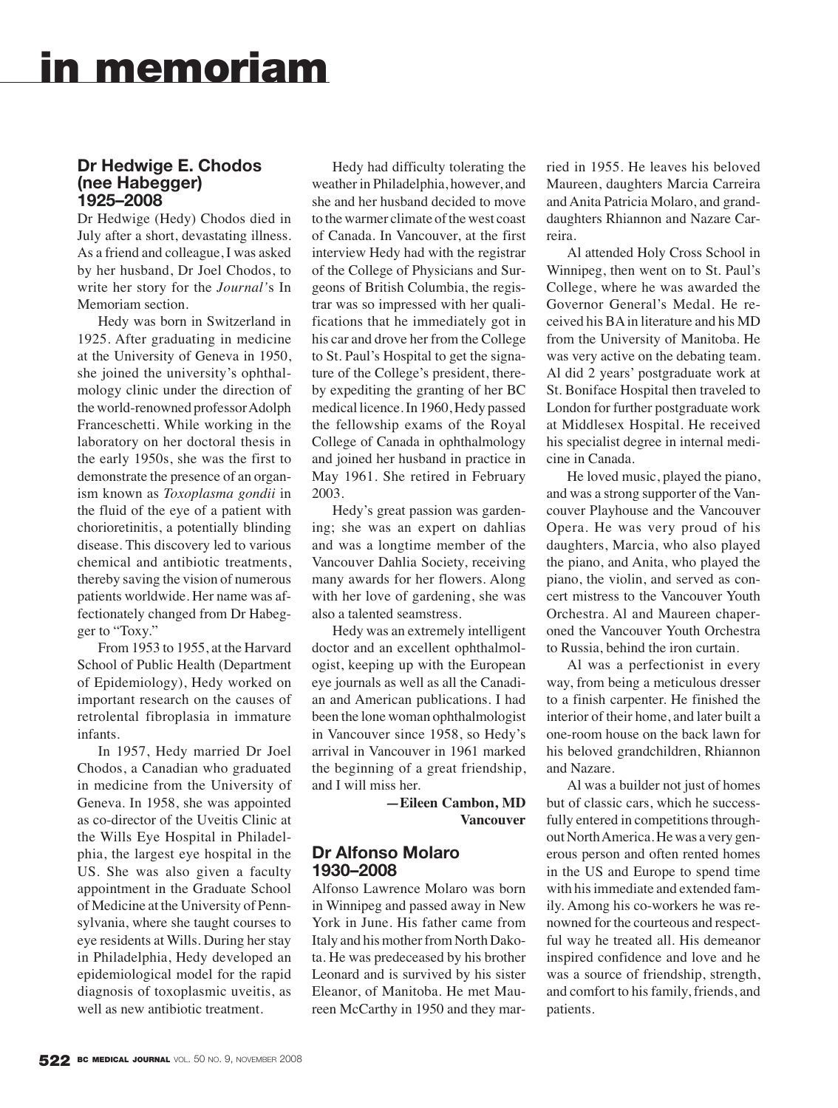# **in memoriam**

## **Dr Hedwige E. Chodos (nee Habegger) 1925–2008**

Dr Hedwige (Hedy) Chodos died in July after a short, devastating illness. As a friend and colleague, I was asked by her husband, Dr Joel Chodos, to write her story for the *Journal'*s In Memoriam section.

Hedy was born in Switzerland in 1925. After graduating in medicine at the University of Geneva in 1950, she joined the university's ophthalmology clinic under the direction of the world-renowned professor Adolph Franceschetti. While working in the laboratory on her doctoral thesis in the early 1950s, she was the first to demonstrate the presence of an organism known as *Toxoplasma gondii* in the fluid of the eye of a patient with chorioretinitis, a potentially blinding disease. This discovery led to various chemical and antibiotic treatments, thereby saving the vision of numerous patients worldwide. Her name was affectionately changed from Dr Habegger to "Toxy."

From 1953 to 1955, at the Harvard School of Public Health (Department of Epidemiology), Hedy worked on important research on the causes of retrolental fibroplasia in immature infants.

In 1957, Hedy married Dr Joel Chodos, a Canadian who graduated in medicine from the University of Geneva. In 1958, she was appointed as co-director of the Uveitis Clinic at the Wills Eye Hospital in Philadelphia, the largest eye hospital in the US. She was also given a faculty appointment in the Graduate School of Medicine at the University of Pennsylvania, where she taught courses to eye residents at Wills. During her stay in Philadelphia, Hedy developed an epidemiological model for the rapid diagnosis of toxoplasmic uveitis, as well as new antibiotic treatment.

Hedy had difficulty tolerating the weather in Philadelphia, however, and she and her husband decided to move to the warmer climate of the west coast of Canada. In Vancouver, at the first interview Hedy had with the registrar of the College of Physicians and Surgeons of British Columbia, the registrar was so impressed with her qualifications that he immediately got in his car and drove her from the College to St. Paul's Hospital to get the signature of the College's president, thereby expediting the granting of her BC medical licence. In 1960, Hedy passed the fellowship exams of the Royal College of Canada in ophthalmology and joined her husband in practice in May 1961. She retired in February 2003.

Hedy's great passion was gardening; she was an expert on dahlias and was a longtime member of the Vancouver Dahlia Society, receiving many awards for her flowers. Along with her love of gardening, she was also a talented seamstress.

Hedy was an extremely intelligent doctor and an excellent ophthalmologist, keeping up with the European eye journals as well as all the Canadian and American publications. I had been the lone woman ophthalmologist in Vancouver since 1958, so Hedy's arrival in Vancouver in 1961 marked the beginning of a great friendship, and I will miss her.

> **—Eileen Cambon, MD Vancouver**

#### **Dr Alfonso Molaro 1930–2008**

Alfonso Lawrence Molaro was born in Winnipeg and passed away in New York in June. His father came from Italy and his mother from North Dakota. He was predeceased by his brother Leonard and is survived by his sister Eleanor, of Manitoba. He met Maureen McCarthy in 1950 and they married in 1955. He leaves his beloved Maureen, daughters Marcia Carreira and Anita Patricia Molaro, and granddaughters Rhiannon and Nazare Carreira.

Al attended Holy Cross School in Winnipeg, then went on to St. Paul's College, where he was awarded the Governor General's Medal. He received his BA in literature and his MD from the University of Manitoba. He was very active on the debating team. Al did 2 years' postgraduate work at St. Boniface Hospital then traveled to London for further postgraduate work at Middlesex Hospital. He received his specialist degree in internal medicine in Canada.

He loved music, played the piano, and was a strong supporter of the Vancouver Playhouse and the Vancouver Opera. He was very proud of his daughters, Marcia, who also played the piano, and Anita, who played the piano, the violin, and served as concert mistress to the Vancouver Youth Orchestra. Al and Maureen chaperoned the Vancouver Youth Orchestra to Russia, behind the iron curtain.

Al was a perfectionist in every way, from being a meticulous dresser to a finish carpenter. He finished the interior of their home, and later built a one-room house on the back lawn for his beloved grandchildren, Rhiannon and Nazare.

Al was a builder not just of homes but of classic cars, which he successfully entered in competitions throughout North America. He was a very generous person and often rented homes in the US and Europe to spend time with his immediate and extended family. Among his co-workers he was renowned for the courteous and respectful way he treated all. His demeanor inspired confidence and love and he was a source of friendship, strength, and comfort to his family, friends, and patients.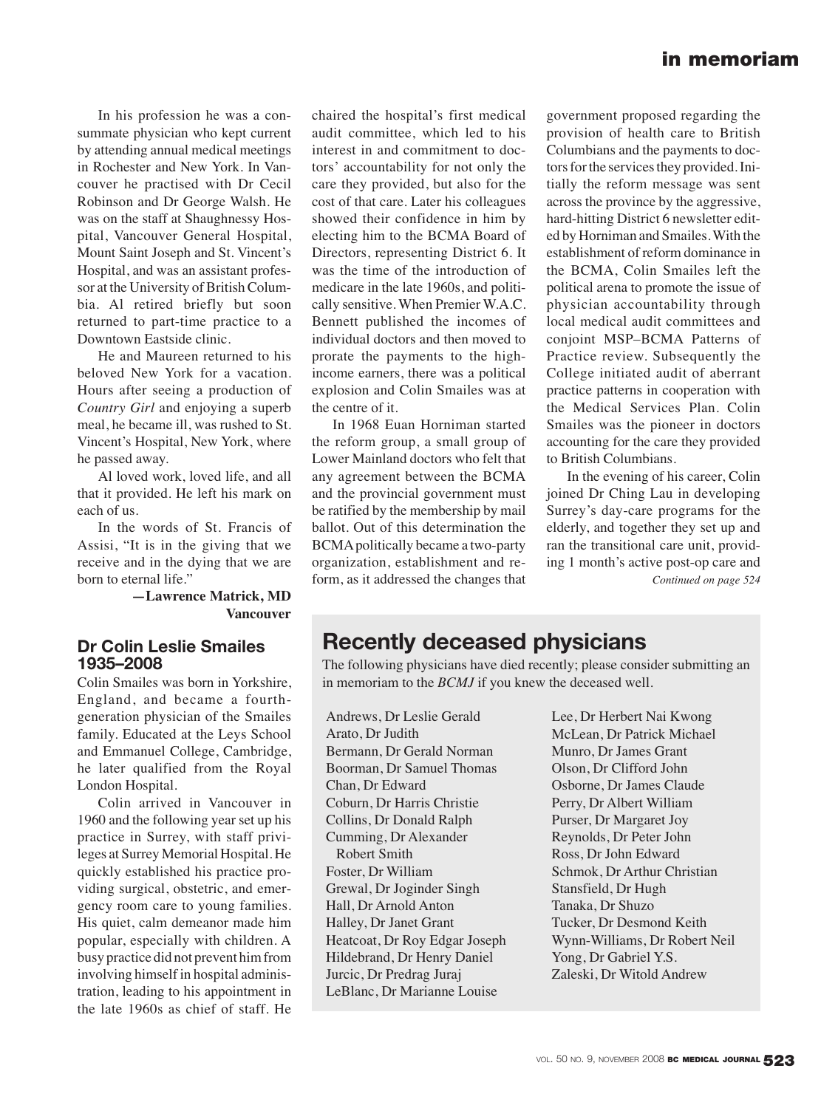# **in memoriam**

In his profession he was a consummate physician who kept current by attending annual medical meetings in Rochester and New York. In Vancouver he practised with Dr Cecil Robinson and Dr George Walsh. He was on the staff at Shaughnessy Hospital, Vancouver General Hospital, Mount Saint Joseph and St. Vincent's Hospital, and was an assistant professor at the University of British Columbia. Al retired briefly but soon returned to part-time practice to a Downtown Eastside clinic.

He and Maureen returned to his beloved New York for a vacation. Hours after seeing a production of *Country Girl* and enjoying a superb meal, he became ill, was rushed to St. Vincent's Hospital, New York, where he passed away.

Al loved work, loved life, and all that it provided. He left his mark on each of us.

In the words of St. Francis of Assisi, "It is in the giving that we receive and in the dying that we are born to eternal life."

#### **—Lawrence Matrick, MD Vancouver**

#### **Dr Colin Leslie Smailes 1935–2008**

Colin Smailes was born in Yorkshire, England, and became a fourthgeneration physician of the Smailes family. Educated at the Leys School and Emmanuel College, Cambridge, he later qualified from the Royal London Hospital.

Colin arrived in Vancouver in 1960 and the following year set up his practice in Surrey, with staff privileges at Surrey Memorial Hospital. He quickly established his practice providing surgical, obstetric, and emergency room care to young families. His quiet, calm demeanor made him popular, especially with children. A busy practice did not prevent him from involving himself in hospital administration, leading to his appointment in the late 1960s as chief of staff. He chaired the hospital's first medical audit committee, which led to his interest in and commitment to doctors' accountability for not only the care they provided, but also for the cost of that care. Later his colleagues showed their confidence in him by electing him to the BCMA Board of Directors, representing District 6. It was the time of the introduction of medicare in the late 1960s, and politically sensitive. When Premier W.A.C. Bennett published the incomes of individual doctors and then moved to prorate the payments to the highincome earners, there was a political explosion and Colin Smailes was at the centre of it.

In 1968 Euan Horniman started the reform group, a small group of Lower Mainland doctors who felt that any agreement between the BCMA and the provincial government must be ratified by the membership by mail ballot. Out of this determination the BCMA politically became a two-party organization, establishment and re form, as it addressed the changes that

government proposed regarding the provision of health care to British Columbians and the payments to doctors for the services they provided. Initially the reform message was sent across the province by the aggressive, hard-hitting District 6 newsletter edited by Horniman and Smailes. With the establishment of reform dominance in the BCMA, Colin Smailes left the political arena to promote the issue of physician accountability through local medical audit committees and conjoint MSP–BCMA Patterns of Practice review. Subsequently the College initiated audit of aberrant practice patterns in cooperation with the Medical Services Plan. Colin Smailes was the pioneer in doctors accounting for the care they provided to British Columbians.

In the evening of his career, Colin joined Dr Ching Lau in developing Surrey's day-care programs for the elderly, and together they set up and ran the transitional care unit, providing 1 month's active post-op care and *Continued on page 524*

# **Recently deceased physicians**

The following physicians have died recently; please consider submitting an in memoriam to the *BCMJ* if you knew the deceased well.

Andrews, Dr Leslie Gerald Arato, Dr Judith Bermann, Dr Gerald Norman Boorman, Dr Samuel Thomas Chan, Dr Edward Coburn, Dr Harris Christie Collins, Dr Donald Ralph Cumming, Dr Alexander Robert Smith Foster, Dr William Grewal, Dr Joginder Singh Hall, Dr Arnold Anton Halley, Dr Janet Grant Heatcoat, Dr Roy Edgar Joseph Hildebrand, Dr Henry Daniel Jurcic, Dr Predrag Juraj LeBlanc, Dr Marianne Louise

Lee, Dr Herbert Nai Kwong McLean, Dr Patrick Michael Munro, Dr James Grant Olson, Dr Clifford John Osborne, Dr James Claude Perry, Dr Albert William Purser, Dr Margaret Joy Reynolds, Dr Peter John Ross, Dr John Edward Schmok, Dr Arthur Christian Stansfield, Dr Hugh Tanaka, Dr Shuzo Tucker, Dr Desmond Keith Wynn-Williams, Dr Robert Neil Yong, Dr Gabriel Y.S. Zaleski, Dr Witold Andrew